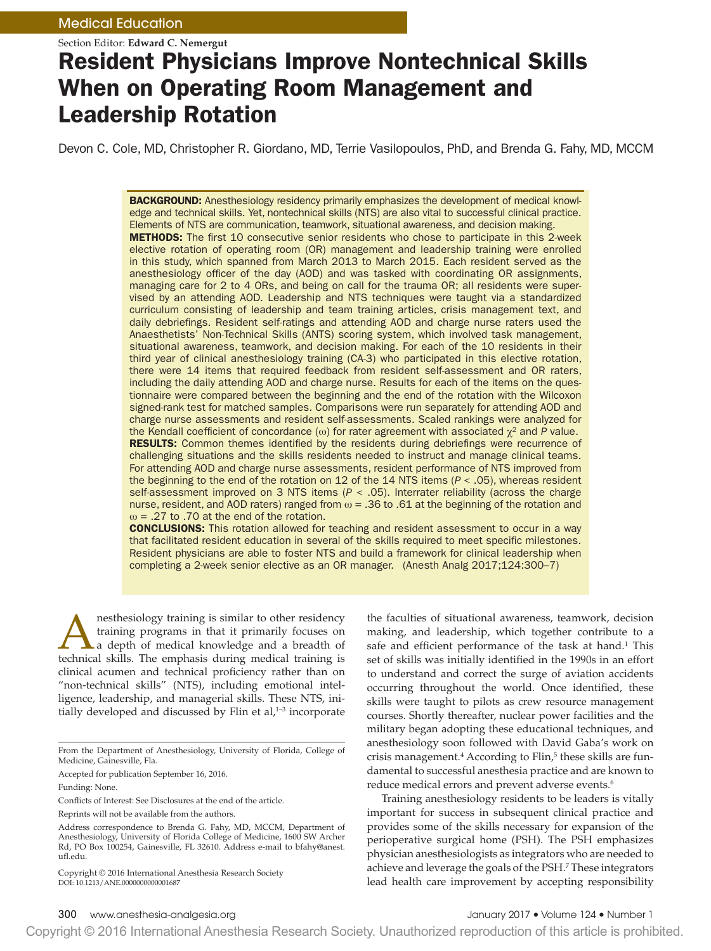Section Editor: **Edward C. Nemergut**

# Resident Physicians Improve Nontechnical Skills When on Operating Room Management and Leadership Rotation

Devon C. Cole, MD, Christopher R. Giordano, MD, Terrie Vasilopoulos, PhD, and Brenda G. Fahy, MD, MCCM

**BACKGROUND:** Anesthesiology residency primarily emphasizes the development of medical knowledge and technical skills. Yet, nontechnical skills (NTS) are also vital to successful clinical practice. Elements of NTS are communication, teamwork, situational awareness, and decision making. **METHODS:** The first 10 consecutive senior residents who chose to participate in this 2-week elective rotation of operating room (OR) management and leadership training were enrolled in this study, which spanned from March 2013 to March 2015. Each resident served as the anesthesiology officer of the day (AOD) and was tasked with coordinating OR assignments, managing care for 2 to 4 ORs, and being on call for the trauma OR; all residents were supervised by an attending AOD. Leadership and NTS techniques were taught via a standardized curriculum consisting of leadership and team training articles, crisis management text, and daily debriefings. Resident self-ratings and attending AOD and charge nurse raters used the Anaesthetists' Non-Technical Skills (ANTS) scoring system, which involved task management, situational awareness, teamwork, and decision making. For each of the 10 residents in their third year of clinical anesthesiology training (CA-3) who participated in this elective rotation, there were 14 items that required feedback from resident self-assessment and OR raters, including the daily attending AOD and charge nurse. Results for each of the items on the questionnaire were compared between the beginning and the end of the rotation with the Wilcoxon signed-rank test for matched samples. Comparisons were run separately for attending AOD and charge nurse assessments and resident self-assessments. Scaled rankings were analyzed for the Kendall coefficient of concordance ( $\omega$ ) for rater agreement with associated  $\chi^2$  and *P* value. **RESULTS:** Common themes identified by the residents during debriefings were recurrence of challenging situations and the skills residents needed to instruct and manage clinical teams. For attending AOD and charge nurse assessments, resident performance of NTS improved from the beginning to the end of the rotation on 12 of the 14 NTS items (*P* < .05), whereas resident self-assessment improved on 3 NTS items (P < .05). Interrater reliability (across the charge nurse, resident, and AOD raters) ranged from  $\omega$  = .36 to .61 at the beginning of the rotation and  $ω = .27$  to .70 at the end of the rotation.

CONCLUSIONS: This rotation allowed for teaching and resident assessment to occur in a way that facilitated resident education in several of the skills required to meet specific milestones. Resident physicians are able to foster NTS and build a framework for clinical leadership when completing a 2-week senior elective as an OR manager. (Anesth Analg 2017;124:300–7)

**A** nesthesiology training is similar to other residency<br>training programs in that it primarily focuses on<br>a depth of medical knowledge and a breadth of<br>technical skills. The emphasis during medical training is training programs in that it primarily focuses on technical skills. The emphasis during medical training is clinical acumen and technical proficiency rather than on "non-technical skills" (NTS), including emotional intelligence, leadership, and managerial skills. These NTS, initially developed and discussed by Flin et  $al<sub>1</sub><sup>1-3</sup>$  incorporate

Copyright © 2016 International Anesthesia Research Society DOI: 10.1213/ANE.0000000000001687

the faculties of situational awareness, teamwork, decision making, and leadership, which together contribute to a safe and efficient performance of the task at hand.<sup>1</sup> This set of skills was initially identified in the 1990s in an effort to understand and correct the surge of aviation accidents occurring throughout the world. Once identified, these skills were taught to pilots as crew resource management courses. Shortly thereafter, nuclear power facilities and the military began adopting these educational techniques, and anesthesiology soon followed with David Gaba's work on crisis management.<sup>4</sup> According to Flin,<sup>5</sup> these skills are fundamental to successful anesthesia practice and are known to reduce medical errors and prevent adverse events.<sup>6</sup>

Training anesthesiology residents to be leaders is vitally important for success in subsequent clinical practice and provides some of the skills necessary for expansion of the perioperative surgical home (PSH). The PSH emphasizes physician anesthesiologists as integrators who are needed to achieve and leverage the goals of the PSH.7 These integrators lead health care improvement by accepting responsibility

From the Department of Anesthesiology, University of Florida, College of Medicine, Gainesville, Fla.

Accepted for publication September 16, 2016.

Funding: None.

Conflicts of Interest: See Disclosures at the end of the article.

Reprints will not be available from the authors.

Address correspondence to Brenda G. Fahy, MD, MCCM, Department of Anesthesiology, University of Florida College of Medicine, 1600 SW Archer Rd, PO Box 100254, Gainesville, FL 32610. Address e-mail to [bfahy@anest.](mailto:bfahy@anest.ufl.edu) [ufl.edu](mailto:bfahy@anest.ufl.edu).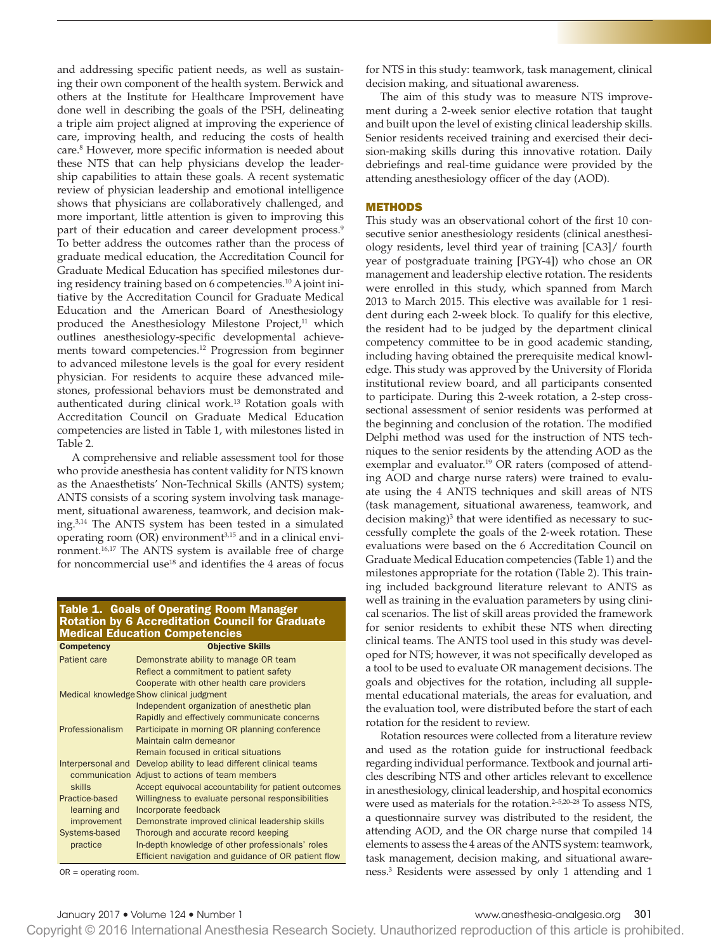and addressing specific patient needs, as well as sustaining their own component of the health system. Berwick and others at the Institute for Healthcare Improvement have done well in describing the goals of the PSH, delineating a triple aim project aligned at improving the experience of care, improving health, and reducing the costs of health care.8 However, more specific information is needed about these NTS that can help physicians develop the leadership capabilities to attain these goals. A recent systematic review of physician leadership and emotional intelligence shows that physicians are collaboratively challenged, and more important, little attention is given to improving this part of their education and career development process.<sup>9</sup> To better address the outcomes rather than the process of graduate medical education, the Accreditation Council for Graduate Medical Education has specified milestones during residency training based on 6 competencies.<sup>10</sup> A joint initiative by the Accreditation Council for Graduate Medical Education and the American Board of Anesthesiology produced the Anesthesiology Milestone Project,<sup>11</sup> which outlines anesthesiology-specific developmental achievements toward competencies.12 Progression from beginner to advanced milestone levels is the goal for every resident physician. For residents to acquire these advanced milestones, professional behaviors must be demonstrated and authenticated during clinical work.13 Rotation goals with Accreditation Council on Graduate Medical Education competencies are listed in Table 1, with milestones listed in Table 2.

A comprehensive and reliable assessment tool for those who provide anesthesia has content validity for NTS known as the Anaesthetists' Non-Technical Skills (ANTS) system; ANTS consists of a scoring system involving task management, situational awareness, teamwork, and decision making.3,14 The ANTS system has been tested in a simulated operating room (OR) environment<sup>3,15</sup> and in a clinical environment.16,17 The ANTS system is available free of charge for noncommercial use $18$  and identifies the 4 areas of focus

### Table 1. Goals of Operating Room Manager Rotation by 6 Accreditation Council for Graduate Medical Education Competencies

| <b>Competency</b>                        | <b>Objective Skills</b>                              |  |  |  |  |
|------------------------------------------|------------------------------------------------------|--|--|--|--|
| Patient care                             | Demonstrate ability to manage OR team                |  |  |  |  |
|                                          | Reflect a commitment to patient safety               |  |  |  |  |
|                                          | Cooperate with other health care providers           |  |  |  |  |
| Medical knowledge Show clinical judgment |                                                      |  |  |  |  |
|                                          | Independent organization of anesthetic plan          |  |  |  |  |
|                                          | Rapidly and effectively communicate concerns         |  |  |  |  |
| Professionalism                          | Participate in morning OR planning conference        |  |  |  |  |
|                                          | Maintain calm demeanor                               |  |  |  |  |
|                                          | Remain focused in critical situations                |  |  |  |  |
| Interpersonal and                        | Develop ability to lead different clinical teams     |  |  |  |  |
| communication                            | Adjust to actions of team members                    |  |  |  |  |
| skills                                   | Accept equivocal accountability for patient outcomes |  |  |  |  |
| Practice-based                           | Willingness to evaluate personal responsibilities    |  |  |  |  |
| learning and                             | Incorporate feedback                                 |  |  |  |  |
| improvement                              | Demonstrate improved clinical leadership skills      |  |  |  |  |
| Systems-based                            | Thorough and accurate record keeping                 |  |  |  |  |
| practice                                 | In-depth knowledge of other professionals' roles     |  |  |  |  |
|                                          | Efficient navigation and guidance of OR patient flow |  |  |  |  |

OR = operating room.

for NTS in this study: teamwork, task management, clinical decision making, and situational awareness.

The aim of this study was to measure NTS improvement during a 2-week senior elective rotation that taught and built upon the level of existing clinical leadership skills. Senior residents received training and exercised their decision-making skills during this innovative rotation. Daily debriefings and real-time guidance were provided by the attending anesthesiology officer of the day (AOD).

### METHODS

This study was an observational cohort of the first 10 consecutive senior anesthesiology residents (clinical anesthesiology residents, level third year of training [CA3]/ fourth year of postgraduate training [PGY-4]) who chose an OR management and leadership elective rotation. The residents were enrolled in this study, which spanned from March 2013 to March 2015. This elective was available for 1 resident during each 2-week block. To qualify for this elective, the resident had to be judged by the department clinical competency committee to be in good academic standing, including having obtained the prerequisite medical knowledge. This study was approved by the University of Florida institutional review board, and all participants consented to participate. During this 2-week rotation, a 2-step crosssectional assessment of senior residents was performed at the beginning and conclusion of the rotation. The modified Delphi method was used for the instruction of NTS techniques to the senior residents by the attending AOD as the exemplar and evaluator.<sup>19</sup> OR raters (composed of attending AOD and charge nurse raters) were trained to evaluate using the 4 ANTS techniques and skill areas of NTS (task management, situational awareness, teamwork, and decision making)<sup>3</sup> that were identified as necessary to successfully complete the goals of the 2-week rotation. These evaluations were based on the 6 Accreditation Council on Graduate Medical Education competencies (Table 1) and the milestones appropriate for the rotation (Table 2). This training included background literature relevant to ANTS as well as training in the evaluation parameters by using clinical scenarios. The list of skill areas provided the framework for senior residents to exhibit these NTS when directing clinical teams. The ANTS tool used in this study was developed for NTS; however, it was not specifically developed as a tool to be used to evaluate OR management decisions. The goals and objectives for the rotation, including all supplemental educational materials, the areas for evaluation, and the evaluation tool, were distributed before the start of each rotation for the resident to review.

Rotation resources were collected from a literature review and used as the rotation guide for instructional feedback regarding individual performance. Textbook and journal articles describing NTS and other articles relevant to excellence in anesthesiology, clinical leadership, and hospital economics were used as materials for the rotation.<sup>2-5,20-28</sup> To assess NTS, a questionnaire survey was distributed to the resident, the attending AOD, and the OR charge nurse that compiled 14 elements to assess the 4 areas of the ANTS system: teamwork, task management, decision making, and situational awareness.3 Residents were assessed by only 1 attending and 1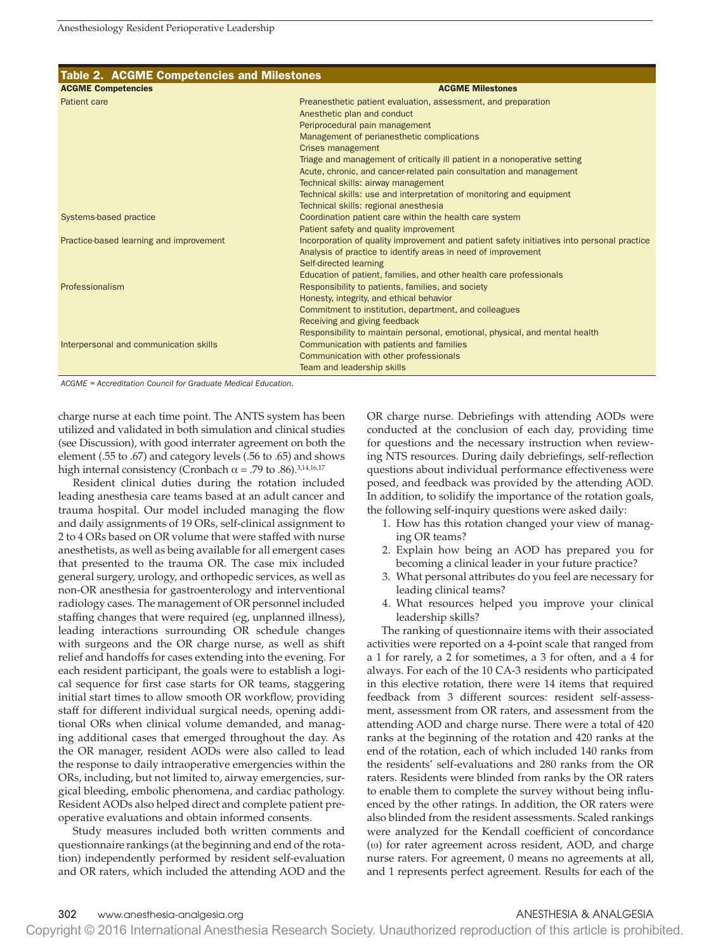| <b>Table 2. ACGME Competencies and Milestones</b> |                                                                                            |  |  |  |  |  |
|---------------------------------------------------|--------------------------------------------------------------------------------------------|--|--|--|--|--|
| <b>ACGME Competencies</b>                         | <b>ACGME Milestones</b>                                                                    |  |  |  |  |  |
| Patient care                                      | Preanesthetic patient evaluation, assessment, and preparation                              |  |  |  |  |  |
|                                                   | Anesthetic plan and conduct                                                                |  |  |  |  |  |
|                                                   | Periprocedural pain management                                                             |  |  |  |  |  |
|                                                   | Management of perianesthetic complications                                                 |  |  |  |  |  |
|                                                   | <b>Crises management</b>                                                                   |  |  |  |  |  |
|                                                   | Triage and management of critically ill patient in a nonoperative setting                  |  |  |  |  |  |
|                                                   | Acute, chronic, and cancer-related pain consultation and management                        |  |  |  |  |  |
|                                                   | Technical skills: airway management                                                        |  |  |  |  |  |
|                                                   | Technical skills: use and interpretation of monitoring and equipment                       |  |  |  |  |  |
|                                                   | Technical skills: regional anesthesia                                                      |  |  |  |  |  |
| Systems-based practice                            | Coordination patient care within the health care system                                    |  |  |  |  |  |
|                                                   | Patient safety and quality improvement                                                     |  |  |  |  |  |
| Practice-based learning and improvement           | Incorporation of quality improvement and patient safety initiatives into personal practice |  |  |  |  |  |
|                                                   | Analysis of practice to identify areas in need of improvement                              |  |  |  |  |  |
|                                                   | Self-directed learning                                                                     |  |  |  |  |  |
|                                                   | Education of patient, families, and other health care professionals                        |  |  |  |  |  |
| Professionalism                                   | Responsibility to patients, families, and society                                          |  |  |  |  |  |
|                                                   | Honesty, integrity, and ethical behavior                                                   |  |  |  |  |  |
|                                                   | Commitment to institution, department, and colleagues                                      |  |  |  |  |  |
|                                                   | Receiving and giving feedback                                                              |  |  |  |  |  |
|                                                   | Responsibility to maintain personal, emotional, physical, and mental health                |  |  |  |  |  |
| Interpersonal and communication skills            | Communication with patients and families                                                   |  |  |  |  |  |
|                                                   | Communication with other professionals                                                     |  |  |  |  |  |
|                                                   | Team and leadership skills                                                                 |  |  |  |  |  |

*ACGME = Accreditation Council for Graduate Medical Education.*

charge nurse at each time point. The ANTS system has been utilized and validated in both simulation and clinical studies (see Discussion), with good interrater agreement on both the element (.55 to .67) and category levels (.56 to .65) and shows high internal consistency (Cronbach  $\alpha$  = .79 to .86).<sup>3,14,16,17</sup>

Resident clinical duties during the rotation included leading anesthesia care teams based at an adult cancer and trauma hospital. Our model included managing the flow and daily assignments of 19 ORs, self-clinical assignment to 2 to 4 ORs based on OR volume that were staffed with nurse anesthetists, as well as being available for all emergent cases that presented to the trauma OR. The case mix included general surgery, urology, and orthopedic services, as well as non-OR anesthesia for gastroenterology and interventional radiology cases. The management of OR personnel included staffing changes that were required (eg, unplanned illness), leading interactions surrounding OR schedule changes with surgeons and the OR charge nurse, as well as shift relief and handoffs for cases extending into the evening. For each resident participant, the goals were to establish a logical sequence for first case starts for OR teams, staggering initial start times to allow smooth OR workflow, providing staff for different individual surgical needs, opening additional ORs when clinical volume demanded, and managing additional cases that emerged throughout the day. As the OR manager, resident AODs were also called to lead the response to daily intraoperative emergencies within the ORs, including, but not limited to, airway emergencies, surgical bleeding, embolic phenomena, and cardiac pathology. Resident AODs also helped direct and complete patient preoperative evaluations and obtain informed consents.

Study measures included both written comments and questionnaire rankings (at the beginning and end of the rotation) independently performed by resident self-evaluation and OR raters, which included the attending AOD and the

OR charge nurse. Debriefings with attending AODs were conducted at the conclusion of each day, providing time for questions and the necessary instruction when reviewing NTS resources. During daily debriefings, self-reflection questions about individual performance effectiveness were posed, and feedback was provided by the attending AOD. In addition, to solidify the importance of the rotation goals, the following self-inquiry questions were asked daily:

- 1. How has this rotation changed your view of managing OR teams?
- 2. Explain how being an AOD has prepared you for becoming a clinical leader in your future practice?
- 3. What personal attributes do you feel are necessary for leading clinical teams?
- 4. What resources helped you improve your clinical leadership skills?

The ranking of questionnaire items with their associated activities were reported on a 4-point scale that ranged from a 1 for rarely, a 2 for sometimes, a 3 for often, and a 4 for always. For each of the 10 CA-3 residents who participated in this elective rotation, there were 14 items that required feedback from 3 different sources: resident self-assessment, assessment from OR raters, and assessment from the attending AOD and charge nurse. There were a total of 420 ranks at the beginning of the rotation and 420 ranks at the end of the rotation, each of which included 140 ranks from the residents' self-evaluations and 280 ranks from the OR raters. Residents were blinded from ranks by the OR raters to enable them to complete the survey without being influenced by the other ratings. In addition, the OR raters were also blinded from the resident assessments. Scaled rankings were analyzed for the Kendall coefficient of concordance (ω) for rater agreement across resident, AOD, and charge nurse raters. For agreement, 0 means no agreements at all, and 1 represents perfect agreement. Results for each of the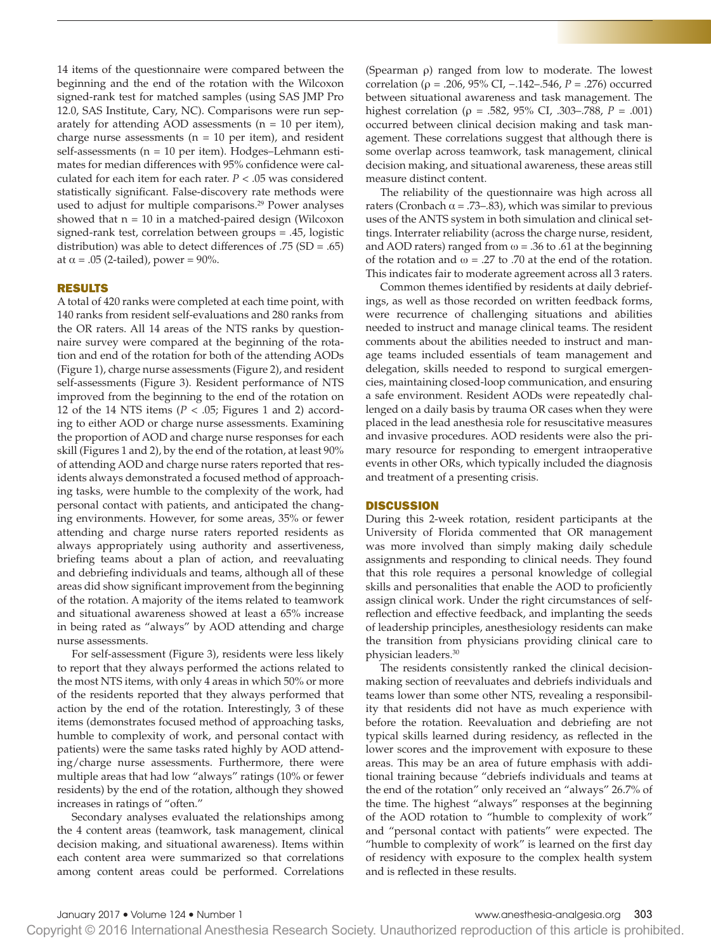14 items of the questionnaire were compared between the beginning and the end of the rotation with the Wilcoxon signed-rank test for matched samples (using SAS JMP Pro 12.0, SAS Institute, Cary, NC). Comparisons were run separately for attending AOD assessments ( $n = 10$  per item), charge nurse assessments ( $n = 10$  per item), and resident self-assessments (n = 10 per item). Hodges–Lehmann estimates for median differences with 95% confidence were calculated for each item for each rater. *P* < .05 was considered statistically significant. False-discovery rate methods were used to adjust for multiple comparisons.<sup>29</sup> Power analyses showed that  $n = 10$  in a matched-paired design (Wilcoxon signed-rank test, correlation between groups = .45, logistic distribution) was able to detect differences of .75 (SD = .65) at  $\alpha$  = .05 (2-tailed), power = 90%.

### RESULTS

A total of 420 ranks were completed at each time point, with 140 ranks from resident self-evaluations and 280 ranks from the OR raters. All 14 areas of the NTS ranks by questionnaire survey were compared at the beginning of the rotation and end of the rotation for both of the attending AODs (Figure 1), charge nurse assessments (Figure 2), and resident self-assessments (Figure 3). Resident performance of NTS improved from the beginning to the end of the rotation on 12 of the 14 NTS items ( $P < .05$ ; Figures 1 and 2) according to either AOD or charge nurse assessments. Examining the proportion of AOD and charge nurse responses for each skill (Figures 1 and 2), by the end of the rotation, at least 90% of attending AOD and charge nurse raters reported that residents always demonstrated a focused method of approaching tasks, were humble to the complexity of the work, had personal contact with patients, and anticipated the changing environments. However, for some areas, 35% or fewer attending and charge nurse raters reported residents as always appropriately using authority and assertiveness, briefing teams about a plan of action, and reevaluating and debriefing individuals and teams, although all of these areas did show significant improvement from the beginning of the rotation. A majority of the items related to teamwork and situational awareness showed at least a 65% increase in being rated as "always" by AOD attending and charge nurse assessments.

For self-assessment (Figure 3), residents were less likely to report that they always performed the actions related to the most NTS items, with only 4 areas in which 50% or more of the residents reported that they always performed that action by the end of the rotation. Interestingly, 3 of these items (demonstrates focused method of approaching tasks, humble to complexity of work, and personal contact with patients) were the same tasks rated highly by AOD attending/charge nurse assessments. Furthermore, there were multiple areas that had low "always" ratings (10% or fewer residents) by the end of the rotation, although they showed increases in ratings of "often."

Secondary analyses evaluated the relationships among the 4 content areas (teamwork, task management, clinical decision making, and situational awareness). Items within each content area were summarized so that correlations among content areas could be performed. Correlations

(Spearman ρ) ranged from low to moderate. The lowest correlation (ρ = .206, 95% CI, −.142–.546, *P* = .276) occurred between situational awareness and task management. The highest correlation (ρ = .582, 95% CI, .303–.788, *P* = .001) occurred between clinical decision making and task management. These correlations suggest that although there is some overlap across teamwork, task management, clinical decision making, and situational awareness, these areas still measure distinct content.

The reliability of the questionnaire was high across all raters (Cronbach  $\alpha$  = .73–.83), which was similar to previous uses of the ANTS system in both simulation and clinical settings. Interrater reliability (across the charge nurse, resident, and AOD raters) ranged from  $\omega$  = .36 to .61 at the beginning of the rotation and  $\omega = .27$  to .70 at the end of the rotation. This indicates fair to moderate agreement across all 3 raters.

Common themes identified by residents at daily debriefings, as well as those recorded on written feedback forms, were recurrence of challenging situations and abilities needed to instruct and manage clinical teams. The resident comments about the abilities needed to instruct and manage teams included essentials of team management and delegation, skills needed to respond to surgical emergencies, maintaining closed-loop communication, and ensuring a safe environment. Resident AODs were repeatedly challenged on a daily basis by trauma OR cases when they were placed in the lead anesthesia role for resuscitative measures and invasive procedures. AOD residents were also the primary resource for responding to emergent intraoperative events in other ORs, which typically included the diagnosis and treatment of a presenting crisis.

### **DISCUSSION**

During this 2-week rotation, resident participants at the University of Florida commented that OR management was more involved than simply making daily schedule assignments and responding to clinical needs. They found that this role requires a personal knowledge of collegial skills and personalities that enable the AOD to proficiently assign clinical work. Under the right circumstances of selfreflection and effective feedback, and implanting the seeds of leadership principles, anesthesiology residents can make the transition from physicians providing clinical care to physician leaders.30

The residents consistently ranked the clinical decisionmaking section of reevaluates and debriefs individuals and teams lower than some other NTS, revealing a responsibility that residents did not have as much experience with before the rotation. Reevaluation and debriefing are not typical skills learned during residency, as reflected in the lower scores and the improvement with exposure to these areas. This may be an area of future emphasis with additional training because "debriefs individuals and teams at the end of the rotation" only received an "always" 26.7% of the time. The highest "always" responses at the beginning of the AOD rotation to "humble to complexity of work" and "personal contact with patients" were expected. The "humble to complexity of work" is learned on the first day of residency with exposure to the complex health system and is reflected in these results.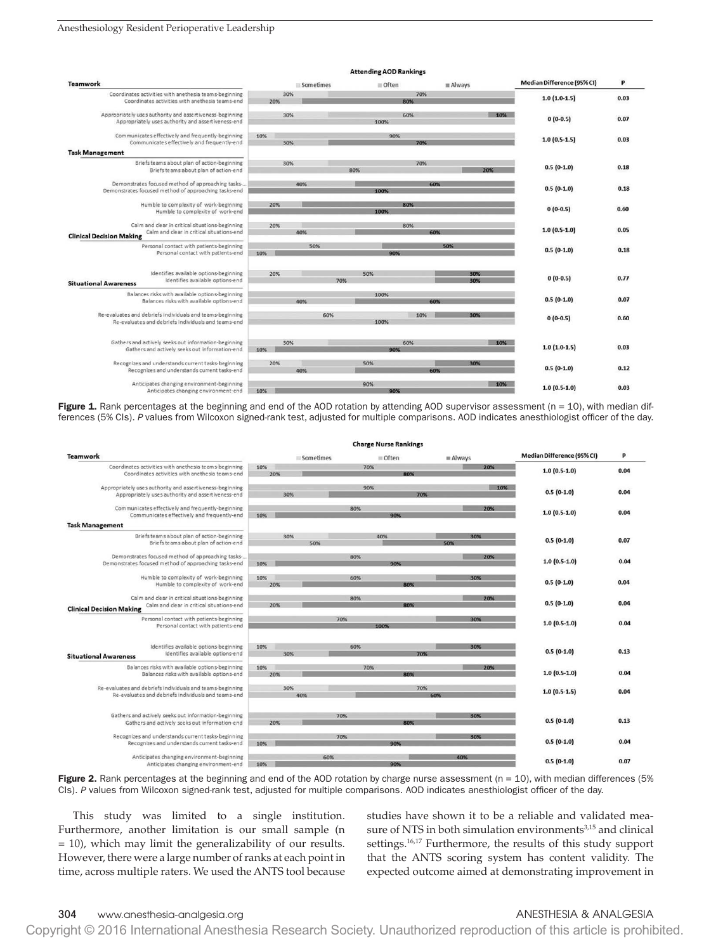

Figure 1. Rank percentages at the beginning and end of the AOD rotation by attending AOD supervisor assessment ( $n = 10$ ), with median differences (5% CIs). *P* values from Wilcoxon signed-rank test, adjusted for multiple comparisons. AOD indicates anesthiologist officer of the day.

| <b>Teamwork</b>                                                              |     |     | <b>Sometimes</b> |     | ■ Often |     | $\equiv$ Always | <b>Median Difference (95% CI)</b> | P    |
|------------------------------------------------------------------------------|-----|-----|------------------|-----|---------|-----|-----------------|-----------------------------------|------|
| Coordinates activities with anethesia teams-beginning                        | 10% |     |                  |     | 70%     |     | 20%             | $1.0(0.5-1.0)$                    | 0.04 |
| Coordinates activities with anethesia teams-end                              |     | 20% |                  |     |         | 80% |                 |                                   |      |
| Appropriately uses authority and assertiveness-beginning                     |     |     |                  |     | 90%     |     | 10%             |                                   |      |
| Appropriately uses authority and assertiveness-end                           |     | 30% |                  |     |         | 70% |                 | $0.5(0-1.0)$                      | 0.04 |
| Communicates effectively and frequently-beginning                            |     |     |                  | 80% |         |     | 20%             |                                   |      |
| Communicates effectively and frequently-end                                  | 10% |     |                  |     | 90%     |     |                 | $1.0(0.5-1.0)$                    | 0.04 |
| <b>Task Management</b>                                                       |     |     |                  |     |         |     |                 |                                   |      |
| Briefs teams about plan of action-beginning                                  |     | 30% |                  |     | 40%     |     | 30%             | $0.5(0-1.0)$                      | 0.07 |
| Briefs teams about plan of action-end                                        |     |     | 50%              |     |         |     | 50%             |                                   |      |
| Demonstrates focused method of approaching tasks-                            |     |     |                  | 80% |         |     | 20%             |                                   |      |
| Demonstrates focused method of approaching tasks-end                         | 10% |     |                  |     | 90%     |     |                 | $1.0(0.5-1.0)$                    | 0.04 |
| Humble to complexity of work-beginning                                       | 10% |     |                  | 60% |         |     | 30%             |                                   |      |
| Humble to complexity of work-end                                             |     | 20% |                  |     |         | 80% |                 | $0.5(0-1.0)$                      | 0.04 |
| Calm and clear in critical situations-beginning                              |     |     |                  | 80% |         |     | 20%             |                                   |      |
| Calm and clear in critical situations-end<br><b>Clinical Decision Making</b> |     | 20% |                  |     |         | 80% |                 | $0.5(0-1.0)$                      | 0.04 |
| Personal contact with patients-beginning                                     |     |     |                  | 70% |         |     | 30%             |                                   |      |
| Personal contact with patients-end                                           |     |     |                  |     | 100%    |     |                 | $1.0(0.5-1.0)$                    | 0.04 |
| Identifies available options-beginning                                       | 10% |     |                  | 60% |         |     | 30%             |                                   |      |
| Identifies available options-end<br><b>Situational Awareness</b>             |     | 30% |                  |     |         | 70% |                 | $0.5(0-1.0)$                      | 0.13 |
| Balances risks with available options-beginning                              | 10% |     |                  |     | 70%     |     | 20%             |                                   |      |
| Balances risks with available options-end                                    |     | 20% |                  |     |         | 80% |                 | $1.0(0.5-1.0)$                    | 0.04 |
| Re-evaluates and debriefs individuals and teams-beginning                    |     | 30% |                  |     |         | 70% |                 |                                   |      |
| Re-evaluates and debriefs individuals and teams-end                          |     |     | 40%              |     |         | 60% |                 | $1.0(0.5-1.5)$                    | 0.04 |
| Gathers and actively seeks out information-beginning                         |     |     |                  | 70% |         |     | 30%             |                                   |      |
| Gathers and actively seeks out information-end                               |     | 20% |                  |     |         | 80% |                 | $0.5(0-1.0)$                      | 0.13 |
| Recognizes and understands current tasks-beginning                           |     |     |                  | 70% |         |     | 30%             |                                   |      |
| Recognizes and understands current tasks-end                                 | 10% |     |                  |     | 90%     |     |                 | $0.5(0-1.0)$                      | 0.04 |
| Anticipates changing environment-beginning                                   |     |     | 60%              |     |         |     | 40%             |                                   |      |
| Anticipates changing environment-end                                         | 10% |     |                  |     | 90%     |     |                 | $0.5(0-1.0)$                      | 0.07 |

Figure 2. Rank percentages at the beginning and end of the AOD rotation by charge nurse assessment ( $n = 10$ ), with median differences (5%) CIs). *P* values from Wilcoxon signed-rank test, adjusted for multiple comparisons. AOD indicates anesthiologist officer of the day.

This study was limited to a single institution. Furthermore, another limitation is our small sample (n = 10), which may limit the generalizability of our results. However, there were a large number of ranks at each point in time, across multiple raters. We used the ANTS tool because

studies have shown it to be a reliable and validated measure of NTS in both simulation environments<sup>3,15</sup> and clinical settings.16,17 Furthermore, the results of this study support that the ANTS scoring system has content validity. The expected outcome aimed at demonstrating improvement in

## 304 www.anesthesia-analgesia.org and analysis and annual state of the anti-state and analysis and annual state and analysis and analysis and analysis and analysis and analysis and analysis and analysis and analysis and ana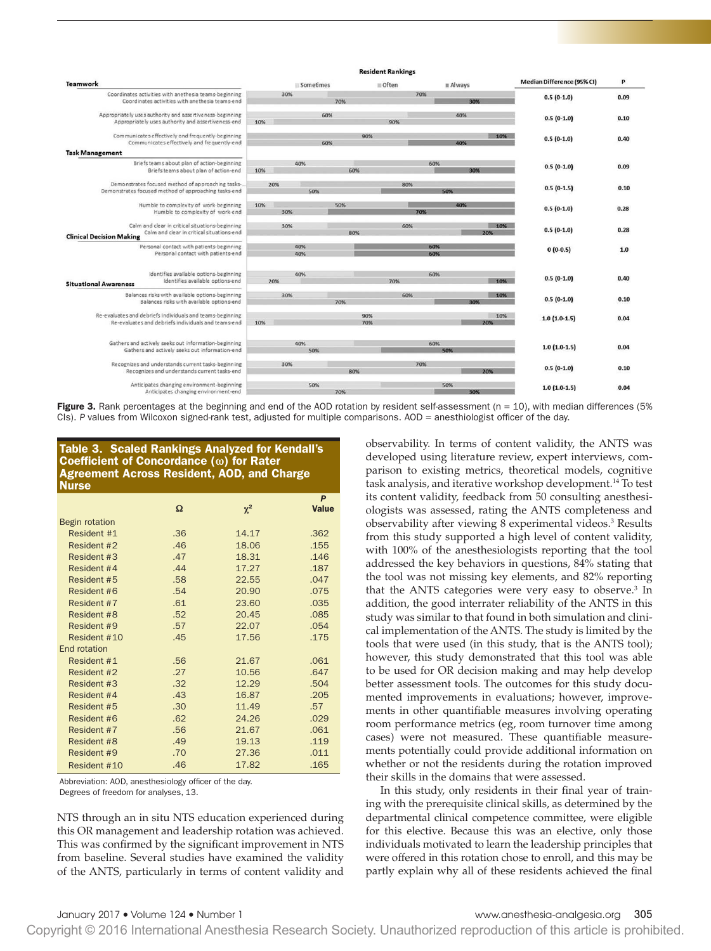

Figure 3. Rank percentages at the beginning and end of the AOD rotation by resident self-assessment ( $n = 10$ ), with median differences (5%) CIs). *P* values from Wilcoxon signed-rank test, adjusted for multiple comparisons. AOD = anesthiologist officer of the day.

Table 3. Scaled Rankings Analyzed for Kendall's Coefficient of Concordance (**ω**) for Rater Agreement Across Resident, AOD, and Charge Nurse

|                | Ω   | $\chi^2$ | P<br><b>Value</b> |
|----------------|-----|----------|-------------------|
| Begin rotation |     |          |                   |
|                | .36 |          |                   |
| Resident #1    |     | 14.17    | .362              |
| Resident #2    | .46 | 18.06    | .155              |
| Resident #3    | .47 | 18.31    | .146              |
| Resident #4    | .44 | 17.27    | .187              |
| Resident #5    | .58 | 22.55    | .047              |
| Resident #6    | .54 | 20.90    | .075              |
| Resident #7    | .61 | 23.60    | .035              |
| Resident #8    | .52 | 20.45    | .085              |
| Resident #9    | .57 | 22.07    | .054              |
| Resident #10   | .45 | 17.56    | .175              |
| End rotation   |     |          |                   |
| Resident #1    | .56 | 21.67    | .061              |
| Resident #2    | .27 | 10.56    | .647              |
| Resident #3    | .32 | 12.29    | .504              |
| Resident #4    | .43 | 16.87    | .205              |
| Resident #5    | .30 | 11.49    | .57               |
| Resident #6    | .62 | 24.26    | .029              |
| Resident #7    | .56 | 21.67    | .061              |
| Resident #8    | .49 | 19.13    | .119              |
| Resident #9    | .70 | 27.36    | .011              |
| Resident #10   | .46 | 17.82    | .165              |

Abbreviation: AOD, anesthesiology officer of the day. Degrees of freedom for analyses, 13.

NTS through an in situ NTS education experienced during this OR management and leadership rotation was achieved. This was confirmed by the significant improvement in NTS from baseline. Several studies have examined the validity of the ANTS, particularly in terms of content validity and

observability. In terms of content validity, the ANTS was developed using literature review, expert interviews, comparison to existing metrics, theoretical models, cognitive task analysis, and iterative workshop development.14 To test its content validity, feedback from 50 consulting anesthesiologists was assessed, rating the ANTS completeness and observability after viewing 8 experimental videos.<sup>3</sup> Results from this study supported a high level of content validity, with 100% of the anesthesiologists reporting that the tool addressed the key behaviors in questions, 84% stating that the tool was not missing key elements, and 82% reporting that the ANTS categories were very easy to observe.3 In addition, the good interrater reliability of the ANTS in this study was similar to that found in both simulation and clinical implementation of the ANTS. The study is limited by the tools that were used (in this study, that is the ANTS tool); however, this study demonstrated that this tool was able to be used for OR decision making and may help develop better assessment tools. The outcomes for this study documented improvements in evaluations; however, improvements in other quantifiable measures involving operating room performance metrics (eg, room turnover time among cases) were not measured. These quantifiable measurements potentially could provide additional information on whether or not the residents during the rotation improved their skills in the domains that were assessed.

In this study, only residents in their final year of training with the prerequisite clinical skills, as determined by the departmental clinical competence committee, were eligible for this elective. Because this was an elective, only those individuals motivated to learn the leadership principles that were offered in this rotation chose to enroll, and this may be partly explain why all of these residents achieved the final

January 2017 • Volume 124 • Number 1 www.anesthesia-analgesia.org 305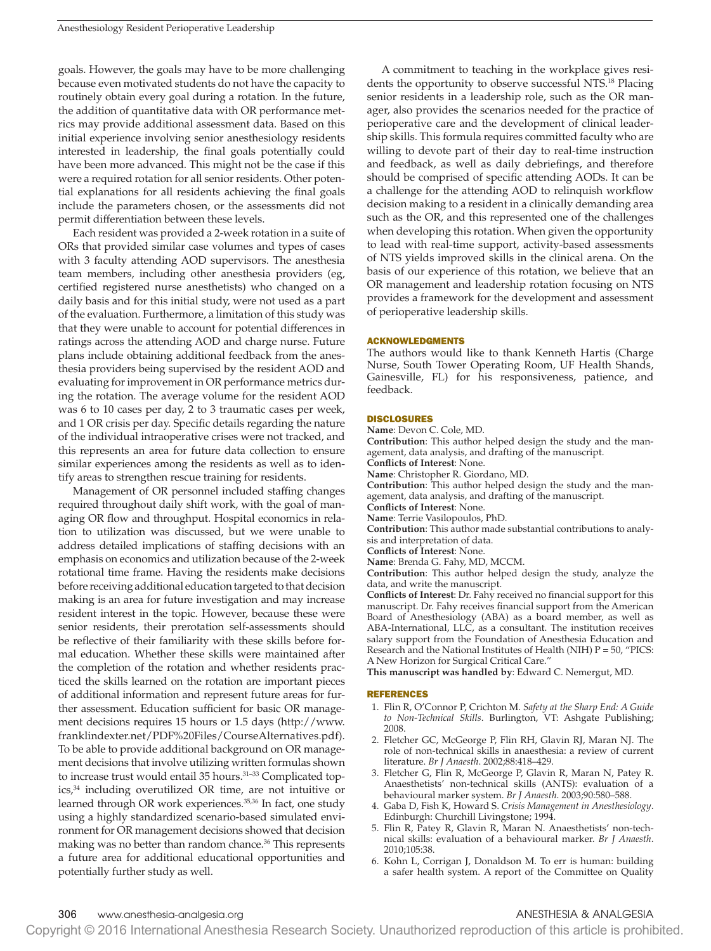goals. However, the goals may have to be more challenging because even motivated students do not have the capacity to routinely obtain every goal during a rotation. In the future, the addition of quantitative data with OR performance metrics may provide additional assessment data. Based on this initial experience involving senior anesthesiology residents interested in leadership, the final goals potentially could have been more advanced. This might not be the case if this were a required rotation for all senior residents. Other potential explanations for all residents achieving the final goals include the parameters chosen, or the assessments did not permit differentiation between these levels.

Each resident was provided a 2-week rotation in a suite of ORs that provided similar case volumes and types of cases with 3 faculty attending AOD supervisors. The anesthesia team members, including other anesthesia providers (eg, certified registered nurse anesthetists) who changed on a daily basis and for this initial study, were not used as a part of the evaluation. Furthermore, a limitation of this study was that they were unable to account for potential differences in ratings across the attending AOD and charge nurse. Future plans include obtaining additional feedback from the anesthesia providers being supervised by the resident AOD and evaluating for improvement in OR performance metrics during the rotation. The average volume for the resident AOD was 6 to 10 cases per day, 2 to 3 traumatic cases per week, and 1 OR crisis per day. Specific details regarding the nature of the individual intraoperative crises were not tracked, and this represents an area for future data collection to ensure similar experiences among the residents as well as to identify areas to strengthen rescue training for residents.

Management of OR personnel included staffing changes required throughout daily shift work, with the goal of managing OR flow and throughput. Hospital economics in relation to utilization was discussed, but we were unable to address detailed implications of staffing decisions with an emphasis on economics and utilization because of the 2-week rotational time frame. Having the residents make decisions before receiving additional education targeted to that decision making is an area for future investigation and may increase resident interest in the topic. However, because these were senior residents, their prerotation self-assessments should be reflective of their familiarity with these skills before formal education. Whether these skills were maintained after the completion of the rotation and whether residents practiced the skills learned on the rotation are important pieces of additional information and represent future areas for further assessment. Education sufficient for basic OR management decisions requires 15 hours or 1.5 days [\(http://www.](http://www.franklindexter.net/PDF%20Files/CourseAlternatives.pdf) [franklindexter.net/PDF%20Files/CourseAlternatives.pdf\)](http://www.franklindexter.net/PDF%20Files/CourseAlternatives.pdf). To be able to provide additional background on OR management decisions that involve utilizing written formulas shown to increase trust would entail 35 hours.<sup>31-33</sup> Complicated topics,34 including overutilized OR time, are not intuitive or learned through OR work experiences.35,36 In fact, one study using a highly standardized scenario-based simulated environment for OR management decisions showed that decision making was no better than random chance.<sup>36</sup> This represents a future area for additional educational opportunities and potentially further study as well.

A commitment to teaching in the workplace gives residents the opportunity to observe successful NTS.<sup>18</sup> Placing senior residents in a leadership role, such as the OR manager, also provides the scenarios needed for the practice of perioperative care and the development of clinical leadership skills. This formula requires committed faculty who are willing to devote part of their day to real-time instruction and feedback, as well as daily debriefings, and therefore should be comprised of specific attending AODs. It can be a challenge for the attending AOD to relinquish workflow decision making to a resident in a clinically demanding area such as the OR, and this represented one of the challenges when developing this rotation. When given the opportunity to lead with real-time support, activity-based assessments of NTS yields improved skills in the clinical arena. On the basis of our experience of this rotation, we believe that an OR management and leadership rotation focusing on NTS provides a framework for the development and assessment of perioperative leadership skills.

### ACKNOWLEDGMENTS

The authors would like to thank Kenneth Hartis (Charge Nurse, South Tower Operating Room, UF Health Shands, Gainesville, FL) for his responsiveness, patience, and feedback.

### DISCLOSURES

**Name**: Devon C. Cole, MD.

**Contribution**: This author helped design the study and the management, data analysis, and drafting of the manuscript.

**Conflicts of Interest**: None.

**Name**: Christopher R. Giordano, MD. **Contribution**: This author helped design the study and the management, data analysis, and drafting of the manuscript.

**Conflicts of Interest**: None.

**Name**: Terrie Vasilopoulos, PhD.

**Contribution**: This author made substantial contributions to analysis and interpretation of data.

**Conflicts of Interest**: None.

**Name**: Brenda G. Fahy, MD, MCCM.

**Contribution**: This author helped design the study, analyze the data, and write the manuscript.

**Conflicts of Interest**: Dr. Fahy received no financial support for this manuscript. Dr. Fahy receives financial support from the American Board of Anesthesiology (ABA) as a board member, as well as ABA-International, LLC, as a consultant. The institution receives salary support from the Foundation of Anesthesia Education and Research and the National Institutes of Health (NIH)  $P = 50$ , "PICS: A New Horizon for Surgical Critical Care."

**This manuscript was handled by**: Edward C. Nemergut, MD.

### REFERENCES

- 1. Flin R, O'Connor P, Crichton M. *Safety at the Sharp End: A Guide to Non-Technical Skills*. Burlington, VT: Ashgate Publishing; 2008.
- 2. Fletcher GC, McGeorge P, Flin RH, Glavin RJ, Maran NJ. The role of non-technical skills in anaesthesia: a review of current literature. *Br J Anaesth*. 2002;88:418–429.
- 3. Fletcher G, Flin R, McGeorge P, Glavin R, Maran N, Patey R. Anaesthetists' non-technical skills (ANTS): evaluation of a behavioural marker system. *Br J Anaesth*. 2003;90:580–588.
- 4. Gaba D, Fish K, Howard S. *Crisis Management in Anesthesiology*. Edinburgh: Churchill Livingstone; 1994.
- 5. Flin R, Patey R, Glavin R, Maran N. Anaesthetists' non-technical skills: evaluation of a behavioural marker. *Br J Anaesth*. 2010;105:38.
- 6. Kohn L, Corrigan J, Donaldson M. To err is human: building a safer health system. A report of the Committee on Quality